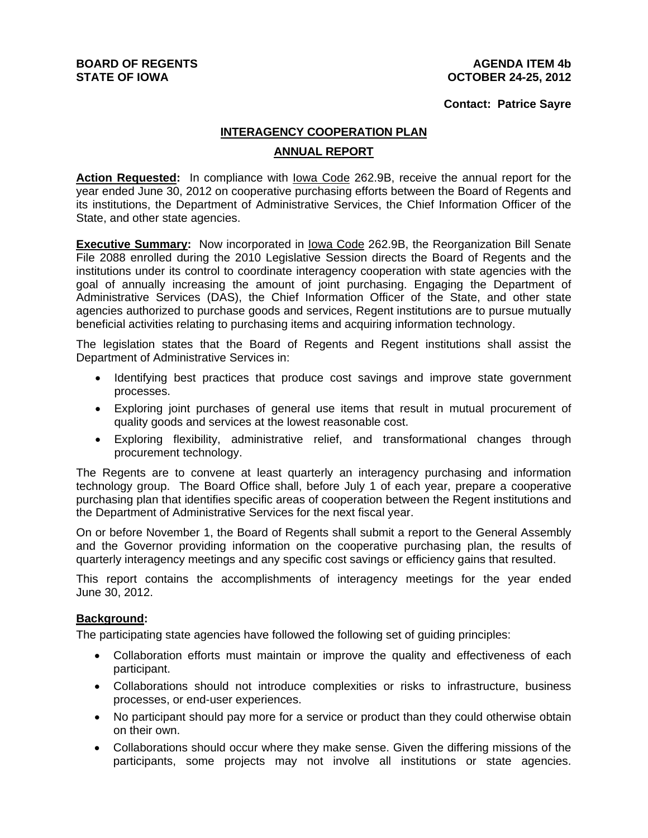### **AGENDA ITEM 4b OCTOBER 24-25, 2012**

### **Contact: Patrice Sayre**

# **INTERAGENCY COOPERATION PLAN ANNUAL REPORT**

**Action Requested:** In compliance with Iowa Code 262.9B, receive the annual report for the year ended June 30, 2012 on cooperative purchasing efforts between the Board of Regents and its institutions, the Department of Administrative Services, the Chief Information Officer of the State, and other state agencies.

**Executive Summary:** Now incorporated in lowa Code 262.9B, the Reorganization Bill Senate File 2088 enrolled during the 2010 Legislative Session directs the Board of Regents and the institutions under its control to coordinate interagency cooperation with state agencies with the goal of annually increasing the amount of joint purchasing. Engaging the Department of Administrative Services (DAS), the Chief Information Officer of the State, and other state agencies authorized to purchase goods and services, Regent institutions are to pursue mutually beneficial activities relating to purchasing items and acquiring information technology.

The legislation states that the Board of Regents and Regent institutions shall assist the Department of Administrative Services in:

- Identifying best practices that produce cost savings and improve state government processes.
- Exploring joint purchases of general use items that result in mutual procurement of quality goods and services at the lowest reasonable cost.
- Exploring flexibility, administrative relief, and transformational changes through procurement technology.

The Regents are to convene at least quarterly an interagency purchasing and information technology group. The Board Office shall, before July 1 of each year, prepare a cooperative purchasing plan that identifies specific areas of cooperation between the Regent institutions and the Department of Administrative Services for the next fiscal year.

On or before November 1, the Board of Regents shall submit a report to the General Assembly and the Governor providing information on the cooperative purchasing plan, the results of quarterly interagency meetings and any specific cost savings or efficiency gains that resulted.

This report contains the accomplishments of interagency meetings for the year ended June 30, 2012.

### **Background:**

The participating state agencies have followed the following set of guiding principles:

- Collaboration efforts must maintain or improve the quality and effectiveness of each participant.
- Collaborations should not introduce complexities or risks to infrastructure, business processes, or end-user experiences.
- No participant should pay more for a service or product than they could otherwise obtain on their own.
- Collaborations should occur where they make sense. Given the differing missions of the participants, some projects may not involve all institutions or state agencies.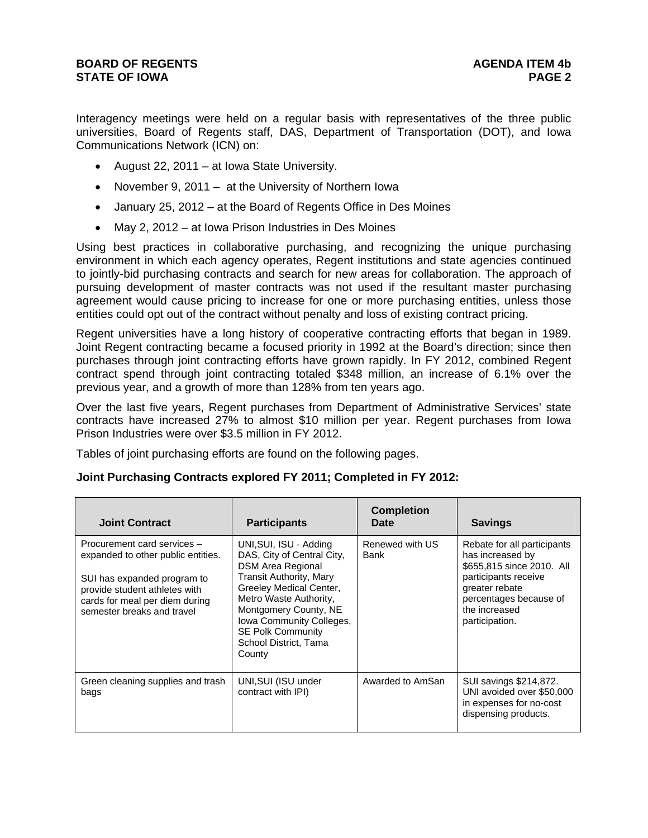Interagency meetings were held on a regular basis with representatives of the three public universities, Board of Regents staff, DAS, Department of Transportation (DOT), and Iowa Communications Network (ICN) on:

- August 22, 2011 at Iowa State University.
- November 9, 2011 at the University of Northern Iowa
- January 25, 2012 at the Board of Regents Office in Des Moines
- May 2, 2012 at Iowa Prison Industries in Des Moines

Using best practices in collaborative purchasing, and recognizing the unique purchasing environment in which each agency operates, Regent institutions and state agencies continued to jointly-bid purchasing contracts and search for new areas for collaboration. The approach of pursuing development of master contracts was not used if the resultant master purchasing agreement would cause pricing to increase for one or more purchasing entities, unless those entities could opt out of the contract without penalty and loss of existing contract pricing.

Regent universities have a long history of cooperative contracting efforts that began in 1989. Joint Regent contracting became a focused priority in 1992 at the Board's direction; since then purchases through joint contracting efforts have grown rapidly. In FY 2012, combined Regent contract spend through joint contracting totaled \$348 million, an increase of 6.1% over the previous year, and a growth of more than 128% from ten years ago.

Over the last five years, Regent purchases from Department of Administrative Services' state contracts have increased 27% to almost \$10 million per year. Regent purchases from Iowa Prison Industries were over \$3.5 million in FY 2012.

Tables of joint purchasing efforts are found on the following pages.

| <b>Joint Contract</b>                                                                                                                                                                             | <b>Participants</b>                                                                                                                                                                                                                                                                         | <b>Completion</b><br><b>Date</b> | <b>Savings</b>                                                                                                                                                                      |
|---------------------------------------------------------------------------------------------------------------------------------------------------------------------------------------------------|---------------------------------------------------------------------------------------------------------------------------------------------------------------------------------------------------------------------------------------------------------------------------------------------|----------------------------------|-------------------------------------------------------------------------------------------------------------------------------------------------------------------------------------|
| Procurement card services -<br>expanded to other public entities.<br>SUI has expanded program to<br>provide student athletes with<br>cards for meal per diem during<br>semester breaks and travel | UNI, SUI, ISU - Adding<br>DAS, City of Central City,<br><b>DSM Area Regional</b><br><b>Transit Authority, Mary</b><br>Greeley Medical Center,<br>Metro Waste Authority,<br>Montgomery County, NE<br>Iowa Community Colleges,<br><b>SE Polk Community</b><br>School District, Tama<br>County | Renewed with US<br>Bank          | Rebate for all participants<br>has increased by<br>\$655,815 since 2010. All<br>participants receive<br>greater rebate<br>percentages because of<br>the increased<br>participation. |
| Green cleaning supplies and trash<br>bags                                                                                                                                                         | UNI, SUI (ISU under<br>contract with IPI)                                                                                                                                                                                                                                                   | Awarded to AmSan                 | SUI savings \$214,872.<br>UNI avoided over \$50,000<br>in expenses for no-cost<br>dispensing products.                                                                              |

### **Joint Purchasing Contracts explored FY 2011; Completed in FY 2012:**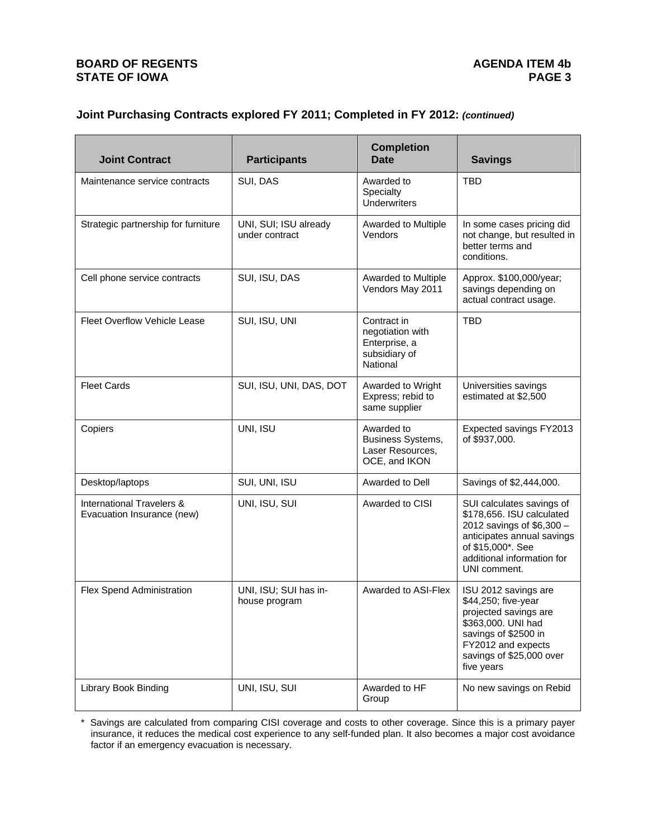# **Joint Purchasing Contracts explored FY 2011; Completed in FY 2012:** *(continued)*

| <b>Joint Contract</b>                                   | <b>Participants</b>                     | <b>Completion</b><br>Date                                                     | <b>Savings</b>                                                                                                                                                                       |
|---------------------------------------------------------|-----------------------------------------|-------------------------------------------------------------------------------|--------------------------------------------------------------------------------------------------------------------------------------------------------------------------------------|
| Maintenance service contracts                           | SUI, DAS                                | Awarded to<br>Specialty<br><b>Underwriters</b>                                | <b>TBD</b>                                                                                                                                                                           |
| Strategic partnership for furniture                     | UNI, SUI; ISU already<br>under contract | Awarded to Multiple<br>Vendors                                                | In some cases pricing did<br>not change, but resulted in<br>better terms and<br>conditions.                                                                                          |
| Cell phone service contracts                            | SUI, ISU, DAS                           | Awarded to Multiple<br>Vendors May 2011                                       | Approx. \$100,000/year;<br>savings depending on<br>actual contract usage.                                                                                                            |
| <b>Fleet Overflow Vehicle Lease</b>                     | SUI, ISU, UNI                           | Contract in<br>negotiation with<br>Enterprise, a<br>subsidiary of<br>National | <b>TBD</b>                                                                                                                                                                           |
| <b>Fleet Cards</b>                                      | SUI, ISU, UNI, DAS, DOT                 | Awarded to Wright<br>Express; rebid to<br>same supplier                       | Universities savings<br>estimated at \$2,500                                                                                                                                         |
| Copiers                                                 | UNI, ISU                                | Awarded to<br>Business Systems,<br>Laser Resources,<br>OCE, and IKON          | Expected savings FY2013<br>of \$937,000.                                                                                                                                             |
| Desktop/laptops                                         | SUI, UNI, ISU                           | Awarded to Dell                                                               | Savings of \$2,444,000.                                                                                                                                                              |
| International Travelers &<br>Evacuation Insurance (new) | UNI, ISU, SUI                           | Awarded to CISI                                                               | SUI calculates savings of<br>\$178,656. ISU calculated<br>2012 savings of \$6,300 -<br>anticipates annual savings<br>of \$15,000*. See<br>additional information for<br>UNI comment. |
| Flex Spend Administration                               | UNI, ISU; SUI has in-<br>house program  | Awarded to ASI-Flex                                                           | ISU 2012 savings are<br>\$44,250; five-year<br>projected savings are<br>\$363,000. UNI had<br>savings of \$2500 in<br>FY2012 and expects<br>savings of \$25,000 over<br>five years   |
| <b>Library Book Binding</b>                             | UNI, ISU, SUI                           | Awarded to HF<br>Group                                                        | No new savings on Rebid                                                                                                                                                              |

\* Savings are calculated from comparing CISI coverage and costs to other coverage. Since this is a primary payer insurance, it reduces the medical cost experience to any self-funded plan. It also becomes a major cost avoidance factor if an emergency evacuation is necessary.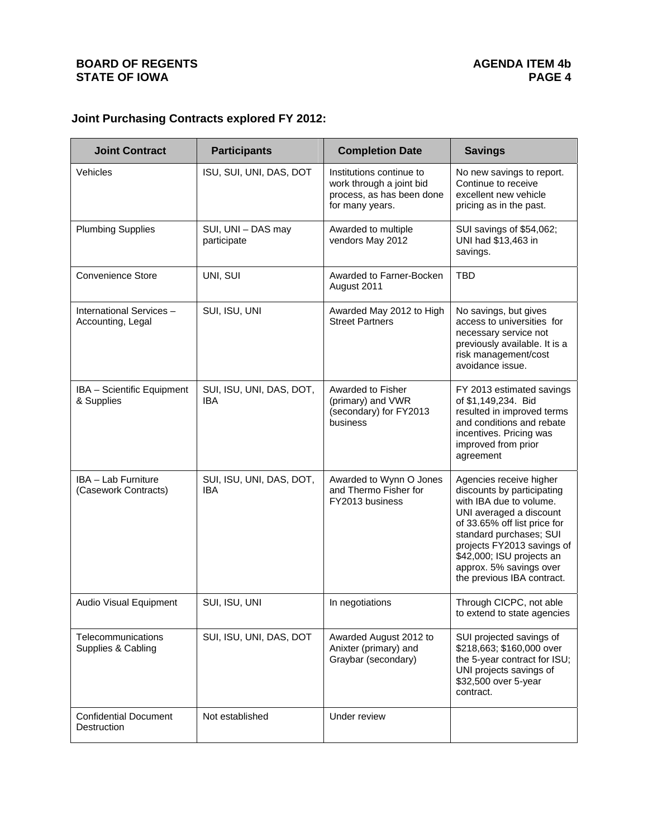# **Joint Purchasing Contracts explored FY 2012:**

| <b>Joint Contract</b>                        | <b>Participants</b>                    | <b>Completion Date</b>                                                                               | <b>Savings</b>                                                                                                                                                                                                                                                                             |
|----------------------------------------------|----------------------------------------|------------------------------------------------------------------------------------------------------|--------------------------------------------------------------------------------------------------------------------------------------------------------------------------------------------------------------------------------------------------------------------------------------------|
| Vehicles                                     | ISU, SUI, UNI, DAS, DOT                | Institutions continue to<br>work through a joint bid<br>process, as has been done<br>for many years. | No new savings to report.<br>Continue to receive<br>excellent new vehicle<br>pricing as in the past.                                                                                                                                                                                       |
| <b>Plumbing Supplies</b>                     | SUI, UNI - DAS may<br>participate      | Awarded to multiple<br>vendors May 2012                                                              | SUI savings of \$54,062;<br>UNI had \$13,463 in<br>savings.                                                                                                                                                                                                                                |
| <b>Convenience Store</b>                     | UNI, SUI                               | Awarded to Farner-Bocken<br>August 2011                                                              | <b>TBD</b>                                                                                                                                                                                                                                                                                 |
| International Services-<br>Accounting, Legal | SUI, ISU, UNI                          | Awarded May 2012 to High<br><b>Street Partners</b>                                                   | No savings, but gives<br>access to universities for<br>necessary service not<br>previously available. It is a<br>risk management/cost<br>avoidance issue.                                                                                                                                  |
| IBA - Scientific Equipment<br>& Supplies     | SUI, ISU, UNI, DAS, DOT,<br>IBA        | Awarded to Fisher<br>(primary) and VWR<br>(secondary) for FY2013<br>business                         | FY 2013 estimated savings<br>of \$1,149,234. Bid<br>resulted in improved terms<br>and conditions and rebate<br>incentives. Pricing was<br>improved from prior<br>agreement                                                                                                                 |
| IBA - Lab Furniture<br>(Casework Contracts)  | SUI, ISU, UNI, DAS, DOT,<br><b>IBA</b> | Awarded to Wynn O Jones<br>and Thermo Fisher for<br>FY2013 business                                  | Agencies receive higher<br>discounts by participating<br>with IBA due to volume.<br>UNI averaged a discount<br>of 33.65% off list price for<br>standard purchases; SUI<br>projects FY2013 savings of<br>\$42,000; ISU projects an<br>approx. 5% savings over<br>the previous IBA contract. |
| Audio Visual Equipment                       | SUI, ISU, UNI                          | In negotiations                                                                                      | Through CICPC, not able<br>to extend to state agencies                                                                                                                                                                                                                                     |
| Telecommunications<br>Supplies & Cabling     | SUI, ISU, UNI, DAS, DOT                | Awarded August 2012 to<br>Anixter (primary) and<br>Graybar (secondary)                               | SUI projected savings of<br>\$218,663; \$160,000 over<br>the 5-year contract for ISU;<br>UNI projects savings of<br>\$32,500 over 5-year<br>contract.                                                                                                                                      |
| <b>Confidential Document</b><br>Destruction  | Not established                        | Under review                                                                                         |                                                                                                                                                                                                                                                                                            |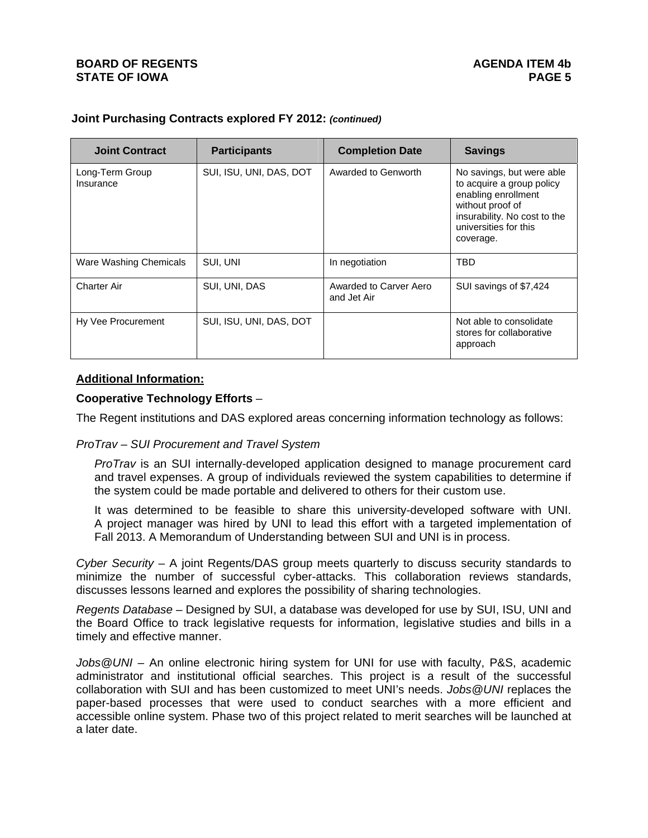| <b>Joint Contract</b>        | <b>Participants</b>     | <b>Completion Date</b>                | <b>Savings</b>                                                                                                                                                          |
|------------------------------|-------------------------|---------------------------------------|-------------------------------------------------------------------------------------------------------------------------------------------------------------------------|
| Long-Term Group<br>Insurance | SUI, ISU, UNI, DAS, DOT | Awarded to Genworth                   | No savings, but were able<br>to acquire a group policy<br>enabling enrollment<br>without proof of<br>insurability. No cost to the<br>universities for this<br>coverage. |
| Ware Washing Chemicals       | SUI, UNI                | In negotiation                        | TBD                                                                                                                                                                     |
| <b>Charter Air</b>           | SUI, UNI, DAS           | Awarded to Carver Aero<br>and Jet Air | SUI savings of \$7,424                                                                                                                                                  |
| Hy Vee Procurement           | SUI, ISU, UNI, DAS, DOT |                                       | Not able to consolidate<br>stores for collaborative<br>approach                                                                                                         |

# **Joint Purchasing Contracts explored FY 2012:** *(continued)*

## **Additional Information:**

### **Cooperative Technology Efforts** –

The Regent institutions and DAS explored areas concerning information technology as follows:

### *ProTrav – SUI Procurement and Travel System*

*ProTrav* is an SUI internally-developed application designed to manage procurement card and travel expenses. A group of individuals reviewed the system capabilities to determine if the system could be made portable and delivered to others for their custom use.

It was determined to be feasible to share this university-developed software with UNI. A project manager was hired by UNI to lead this effort with a targeted implementation of Fall 2013. A Memorandum of Understanding between SUI and UNI is in process.

*Cyber Security* – A joint Regents/DAS group meets quarterly to discuss security standards to minimize the number of successful cyber-attacks. This collaboration reviews standards, discusses lessons learned and explores the possibility of sharing technologies.

*Regents Database –* Designed by SUI, a database was developed for use by SUI, ISU, UNI and the Board Office to track legislative requests for information, legislative studies and bills in a timely and effective manner.

*Jobs@UNI* – An online electronic hiring system for UNI for use with faculty, P&S, academic administrator and institutional official searches. This project is a result of the successful collaboration with SUI and has been customized to meet UNI's needs. *Jobs@UNI* replaces the paper-based processes that were used to conduct searches with a more efficient and accessible online system. Phase two of this project related to merit searches will be launched at a later date.